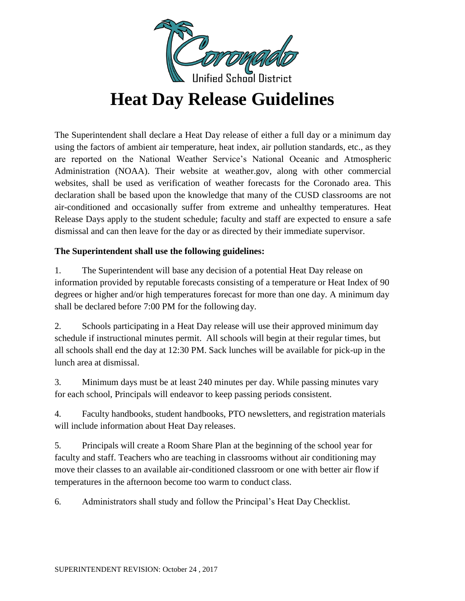

# **Heat Day Release Guidelines**

The Superintendent shall declare a Heat Day release of either a full day or a minimum day using the factors of ambient air temperature, heat index, air pollution standards, etc., as they are reported on the National Weather Service's National Oceanic and Atmospheric Administration (NOAA). Their website at weather.gov, along with other commercial websites, shall be used as verification of weather forecasts for the Coronado area. This declaration shall be based upon the knowledge that many of the CUSD classrooms are not air-conditioned and occasionally suffer from extreme and unhealthy temperatures. Heat Release Days apply to the student schedule; faculty and staff are expected to ensure a safe dismissal and can then leave for the day or as directed by their immediate supervisor.

#### **The Superintendent shall use the following guidelines:**

1. The Superintendent will base any decision of a potential Heat Day release on information provided by reputable forecasts consisting of a temperature or Heat Index of 90 degrees or higher and/or high temperatures forecast for more than one day. A minimum day shall be declared before 7:00 PM for the following day.

2. Schools participating in a Heat Day release will use their approved minimum day schedule if instructional minutes permit. All schools will begin at their regular times, but all schools shall end the day at 12:30 PM. Sack lunches will be available for pick-up in the lunch area at dismissal.

3. Minimum days must be at least 240 minutes per day. While passing minutes vary for each school, Principals will endeavor to keep passing periods consistent.

4. Faculty handbooks, student handbooks, PTO newsletters, and registration materials will include information about Heat Day releases.

5. Principals will create a Room Share Plan at the beginning of the school year for faculty and staff. Teachers who are teaching in classrooms without air conditioning may move their classes to an available air-conditioned classroom or one with better air flow if temperatures in the afternoon become too warm to conduct class.

6. Administrators shall study and follow the Principal's Heat Day Checklist.